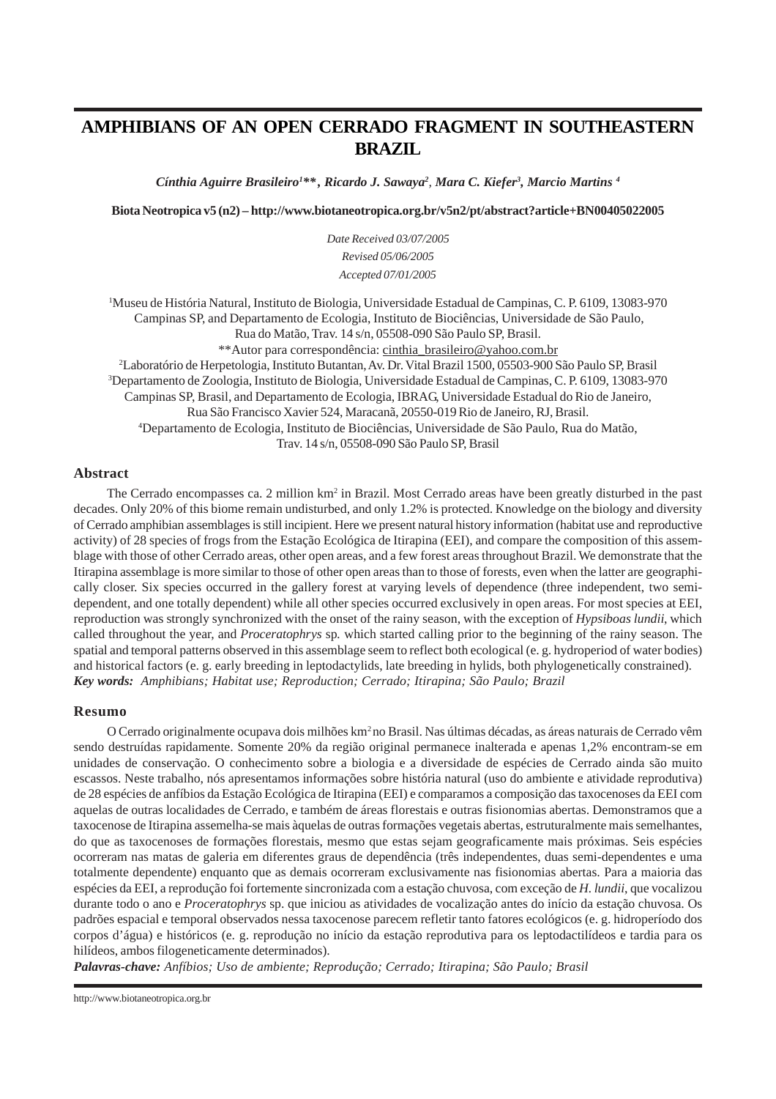# **AMPHIBIANS OF AN OPEN CERRADO FRAGMENT IN SOUTHEASTERN BRAZIL**

*Cínthia Aguirre Brasileiro1 \*\* , Ricardo J. Sawaya2 , Mara C. Kiefer3 , Marcio Martins 4*

**Biota Neotropica v5 (n2) [– http://www.biotaneotropica.org.br/v5n2/pt/abstract?article+BN00405022005](http://www.biotaneotropica.org.br/v5n2/pt/abstract?article+BN00405022005)**

*Date Received 03/07/2005 Revised 05/06/2005 Accepted 07/01/2005*

1 Museu de História Natural, Instituto de Biologia, Universidade Estadual de Campinas, C. P. 6109, 13083-970 Campinas SP, and Departamento de Ecologia, Instituto de Biociências, Universidade de São Paulo, Rua do Matão, Trav. 14 s/n, 05508-090 São Paulo SP, Brasil. \*\*Autor para correspondência[: cinthia\\_brasileiro@yahoo.com.br](mailto:cinthia_brasileiro@yahoo.com.br) 2 Laboratório de Herpetologia, Instituto Butantan, Av. Dr. Vital Brazil 1500, 05503-900 São Paulo SP, Brasil 3 Departamento de Zoologia, Instituto de Biologia, Universidade Estadual de Campinas, C. P. 6109, 13083-970 Campinas SP, Brasil, and Departamento de Ecologia, IBRAG, Universidade Estadual do Rio de Janeiro,

Rua São Francisco Xavier 524, Maracanã, 20550-019 Rio de Janeiro, RJ, Brasil.

4 Departamento de Ecologia, Instituto de Biociências, Universidade de São Paulo, Rua do Matão, Trav. 14 s/n, 05508-090 São Paulo SP, Brasil

# **Abstract**

The Cerrado encompasses ca. 2 million  $km^2$  in Brazil. Most Cerrado areas have been greatly disturbed in the past decades. Only 20% of this biome remain undisturbed, and only 1.2% is protected. Knowledge on the biology and diversity of Cerrado amphibian assemblages is still incipient. Here we present natural history information (habitat use and reproductive activity) of 28 species of frogs from the Estação Ecológica de Itirapina (EEI), and compare the composition of this assemblage with those of other Cerrado areas, other open areas, and a few forest areas throughout Brazil. We demonstrate that the Itirapina assemblage is more similar to those of other open areas than to those of forests, even when the latter are geographically closer. Six species occurred in the gallery forest at varying levels of dependence (three independent, two semidependent, and one totally dependent) while all other species occurred exclusively in open areas. For most species at EEI, reproduction was strongly synchronized with the onset of the rainy season, with the exception of *Hypsiboas lundii*, which called throughout the year, and *Proceratophrys* sp*.* which started calling prior to the beginning of the rainy season. The spatial and temporal patterns observed in this assemblage seem to reflect both ecological (e. g. hydroperiod of water bodies) and historical factors (e. g. early breeding in leptodactylids, late breeding in hylids, both phylogenetically constrained). *Key words: Amphibians; Habitat use; Reproduction; Cerrado; Itirapina; São Paulo; Brazil*

# **Resumo**

O Cerrado originalmente ocupava dois milhões km<sup>2</sup> no Brasil. Nas últimas décadas, as áreas naturais de Cerrado vêm sendo destruídas rapidamente. Somente 20% da região original permanece inalterada e apenas 1,2% encontram-se em unidades de conservação. O conhecimento sobre a biologia e a diversidade de espécies de Cerrado ainda são muito escassos. Neste trabalho, nós apresentamos informações sobre história natural (uso do ambiente e atividade reprodutiva) de 28 espécies de anfíbios da Estação Ecológica de Itirapina (EEI) e comparamos a composição das taxocenoses da EEI com aquelas de outras localidades de Cerrado, e também de áreas florestais e outras fisionomias abertas. Demonstramos que a taxocenose de Itirapina assemelha-se mais àquelas de outras formações vegetais abertas, estruturalmente mais semelhantes, do que as taxocenoses de formações florestais, mesmo que estas sejam geograficamente mais próximas. Seis espécies ocorreram nas matas de galeria em diferentes graus de dependência (três independentes, duas semi-dependentes e uma totalmente dependente) enquanto que as demais ocorreram exclusivamente nas fisionomias abertas. Para a maioria das espécies da EEI, a reprodução foi fortemente sincronizada com a estação chuvosa, com exceção de *H. lundii*, que vocalizou durante todo o ano e *Proceratophrys* sp. que iniciou as atividades de vocalização antes do início da estação chuvosa. Os padrões espacial e temporal observados nessa taxocenose parecem refletir tanto fatores ecológicos (e. g. hidroperíodo dos corpos d'água) e históricos (e. g. reprodução no início da estação reprodutiva para os leptodactilídeos e tardia para os hilídeos, ambos filogeneticamente determinados).

*Palavras-chave: Anfíbios; Uso de ambiente; Reprodução; Cerrado; Itirapina; São Paulo; Brasil*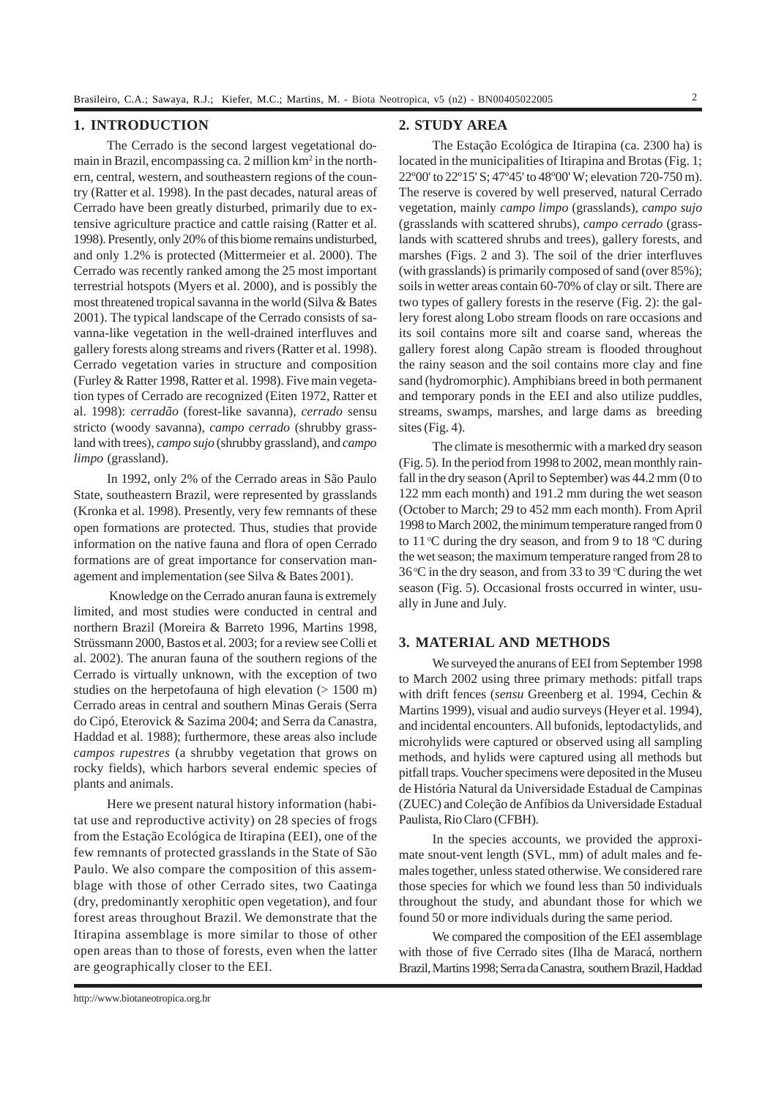# **1. INTRODUCTION**

The Cerrado is the second largest vegetational domain in Brazil, encompassing ca. 2 million km<sup>2</sup> in the northern, central, western, and southeastern regions of the country (Ratter et al. 1998). In the past decades, natural areas of Cerrado have been greatly disturbed, primarily due to extensive agriculture practice and cattle raising (Ratter et al. 1998). Presently, only 20% of this biome remains undisturbed, and only 1.2% is protected (Mittermeier et al. 2000). The Cerrado was recently ranked among the 25 most important terrestrial hotspots (Myers et al. 2000), and is possibly the most threatened tropical savanna in the world (Silva & Bates 2001). The typical landscape of the Cerrado consists of savanna-like vegetation in the well-drained interfluves and gallery forests along streams and rivers (Ratter et al. 1998). Cerrado vegetation varies in structure and composition (Furley & Ratter 1998, Ratter et al. 1998). Five main vegetation types of Cerrado are recognized (Eiten 1972, Ratter et al. 1998): *cerradão* (forest-like savanna), *cerrado* sensu stricto (woody savanna), *campo cerrado* (shrubby grassland with trees), *campo sujo* (shrubby grassland), and *campo limpo* (grassland).

In 1992, only 2% of the Cerrado areas in São Paulo State, southeastern Brazil, were represented by grasslands (Kronka et al. 1998). Presently, very few remnants of these open formations are protected. Thus, studies that provide information on the native fauna and flora of open Cerrado formations are of great importance for conservation management and implementation (see Silva & Bates 2001).

 Knowledge on the Cerrado anuran fauna is extremely limited, and most studies were conducted in central and northern Brazil (Moreira & Barreto 1996, Martins 1998, Strüssmann 2000, Bastos et al. 2003; for a review see Colli et al. 2002). The anuran fauna of the southern regions of the Cerrado is virtually unknown, with the exception of two studies on the herpetofauna of high elevation  $(> 1500 \text{ m})$ Cerrado areas in central and southern Minas Gerais (Serra do Cipó, Eterovick & Sazima 2004; and Serra da Canastra, Haddad et al. 1988); furthermore, these areas also include *campos rupestres* (a shrubby vegetation that grows on rocky fields), which harbors several endemic species of plants and animals.

Here we present natural history information (habitat use and reproductive activity) on 28 species of frogs from the Estação Ecológica de Itirapina (EEI), one of the few remnants of protected grasslands in the State of São Paulo. We also compare the composition of this assemblage with those of other Cerrado sites, two Caatinga (dry, predominantly xerophitic open vegetation), and four forest areas throughout Brazil. We demonstrate that the Itirapina assemblage is more similar to those of other open areas than to those of forests, even when the latter are geographically closer to the EEI.

# **2. STUDY AREA**

The Estação Ecológica de Itirapina (ca. 2300 ha) is located in the municipalities of Itirapina and Brotas (Fig. 1; 22º00' to 22º15' S; 47º45' to 48º00' W; elevation 720-750 m). The reserve is covered by well preserved, natural Cerrado vegetation, mainly *campo limpo* (grasslands), *campo sujo* (grasslands with scattered shrubs), *campo cerrado* (grasslands with scattered shrubs and trees), gallery forests, and marshes (Figs. 2 and 3). The soil of the drier interfluves (with grasslands) is primarily composed of sand (over 85%); soils in wetter areas contain 60-70% of clay or silt. There are two types of gallery forests in the reserve (Fig. 2): the gallery forest along Lobo stream floods on rare occasions and its soil contains more silt and coarse sand, whereas the gallery forest along Capão stream is flooded throughout the rainy season and the soil contains more clay and fine sand (hydromorphic). Amphibians breed in both permanent and temporary ponds in the EEI and also utilize puddles, streams, swamps, marshes, and large dams as breeding sites (Fig. 4).

The climate is mesothermic with a marked dry season (Fig. 5). In the period from 1998 to 2002, mean monthly rainfall in the dry season (April to September) was 44.2 mm (0 to 122 mm each month) and 191.2 mm during the wet season (October to March; 29 to 452 mm each month). From April 1998 to March 2002, the minimum temperature ranged from 0 to  $11^{\circ}$ C during the dry season, and from 9 to 18  $^{\circ}$ C during the wet season; the maximum temperature ranged from 28 to  $36^{\circ}$ C in the dry season, and from 33 to 39  $^{\circ}$ C during the wet season (Fig. 5). Occasional frosts occurred in winter, usually in June and July.

# **3. MATERIAL AND METHODS**

We surveyed the anurans of EEI from September 1998 to March 2002 using three primary methods: pitfall traps with drift fences (*sensu* Greenberg et al. 1994, Cechin & Martins 1999), visual and audio surveys (Heyer et al. 1994), and incidental encounters. All bufonids, leptodactylids, and microhylids were captured or observed using all sampling methods, and hylids were captured using all methods but pitfall traps. Voucher specimens were deposited in the Museu de História Natural da Universidade Estadual de Campinas (ZUEC) and Coleção de Anfíbios da Universidade Estadual Paulista, Rio Claro (CFBH).

In the species accounts, we provided the approximate snout-vent length (SVL, mm) of adult males and females together, unless stated otherwise. We considered rare those species for which we found less than 50 individuals throughout the study, and abundant those for which we found 50 or more individuals during the same period.

We compared the composition of the EEI assemblage with those of five Cerrado sites (Ilha de Maracá, northern Brazil, Martins 1998; Serra da Canastra, southern Brazil, Haddad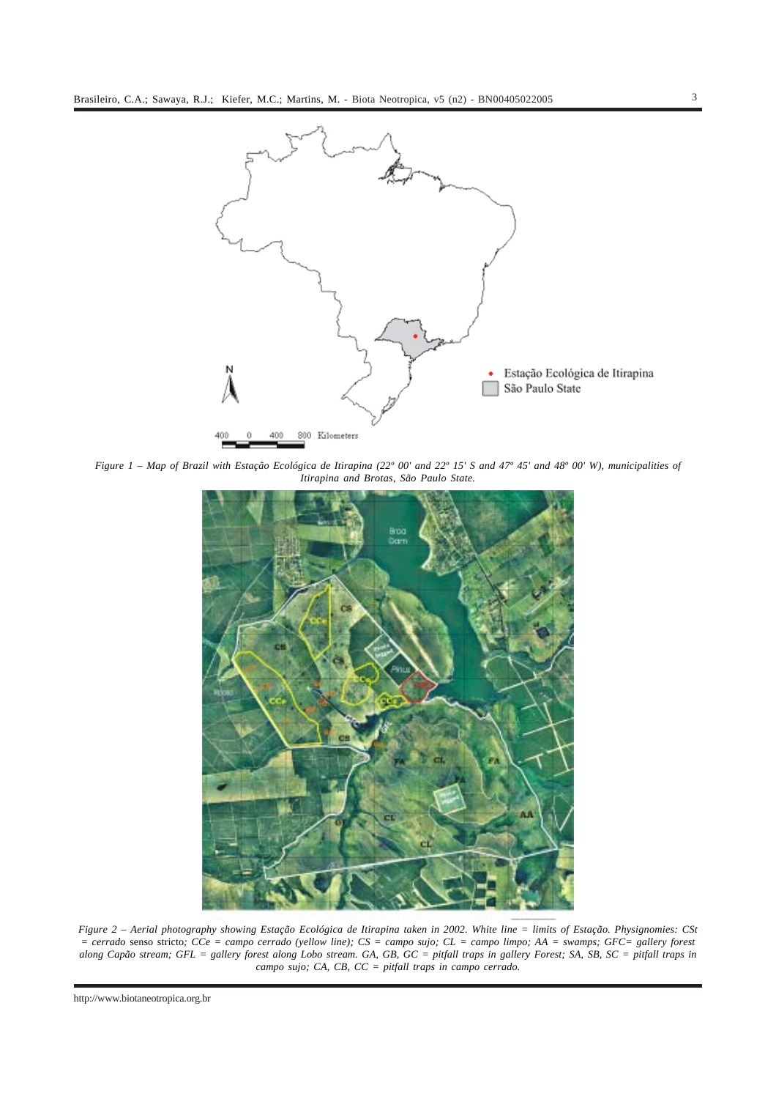

*Figure 1 – Map of Brazil with Estação Ecológica de Itirapina (22º 00' and 22º 15' S and 47º 45' and 48º 00' W), municipalities of Itirapina and Brotas, São Paulo State.*



*Figure 2 – Aerial photography showing Estação Ecológica de Itirapina taken in 2002. White line = limits of Estação. Physignomies: CSt = cerrado* senso stricto*; CCe = campo cerrado (yellow line); CS = campo sujo; CL = campo limpo; AA = swamps; GFC= gallery forest along Capão stream; GFL = gallery forest along Lobo stream. GA, GB, GC = pitfall traps in gallery Forest; SA, SB, SC = pitfall traps in campo sujo; CA, CB, CC = pitfall traps in campo cerrado.*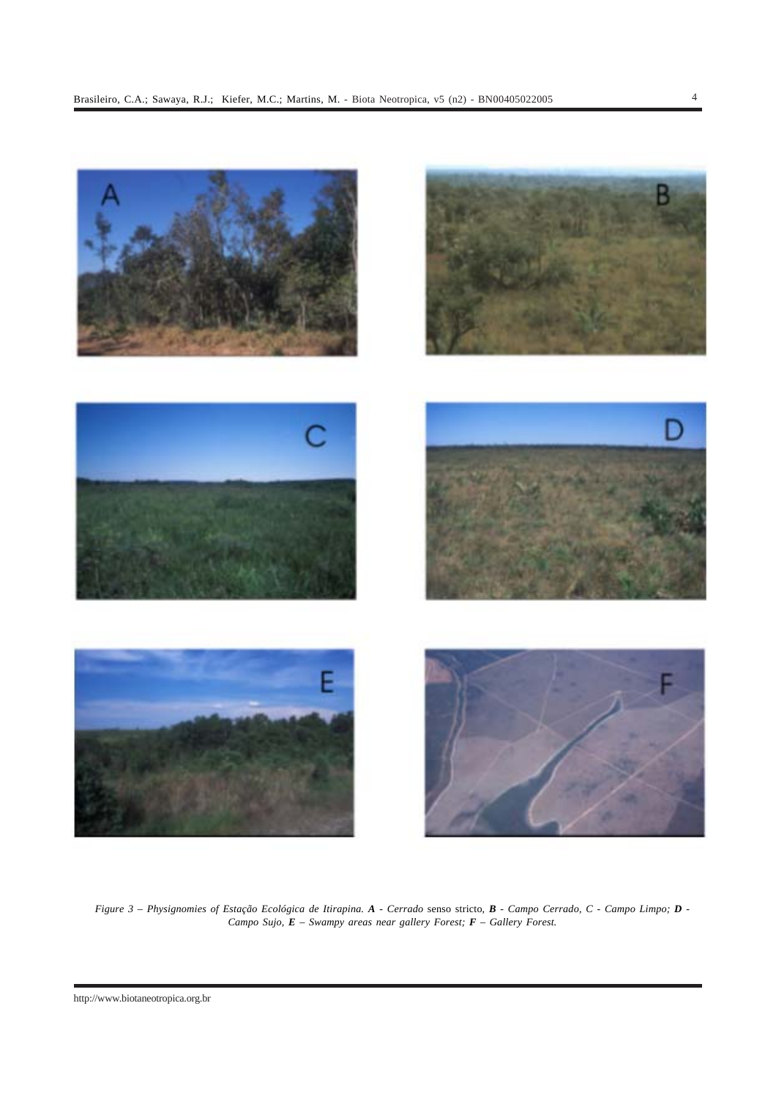

*Figure 3 – Physignomies of Estação Ecológica de Itirapina. A - Cerrado* senso stricto*, B - Campo Cerrado, C - Campo Limpo; D - Campo Sujo, E – Swampy areas near gallery Forest; F – Gallery Forest.*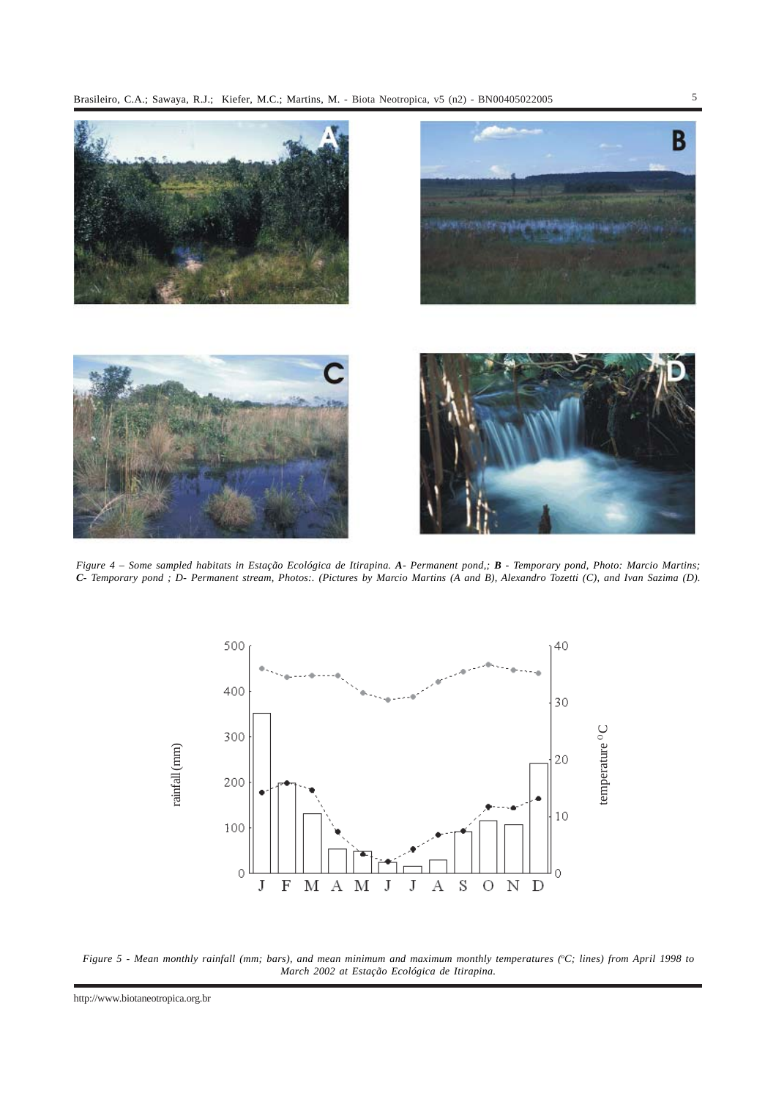

*Figure 4 – Some sampled habitats in Estação Ecológica de Itirapina. A- Permanent pond,; B - Temporary pond, Photo: Marcio Martins; C- Temporary pond ; D- Permanent stream, Photos:. (Pictures by Marcio Martins (A and B), Alexandro Tozetti (C), and Ivan Sazima (D).*



Figure 5 - Mean monthly rainfall (mm; bars), and mean minimum and maximum monthly temperatures (°C; lines) from April 1998 to *March 2002 at Estação Ecológica de Itirapina.*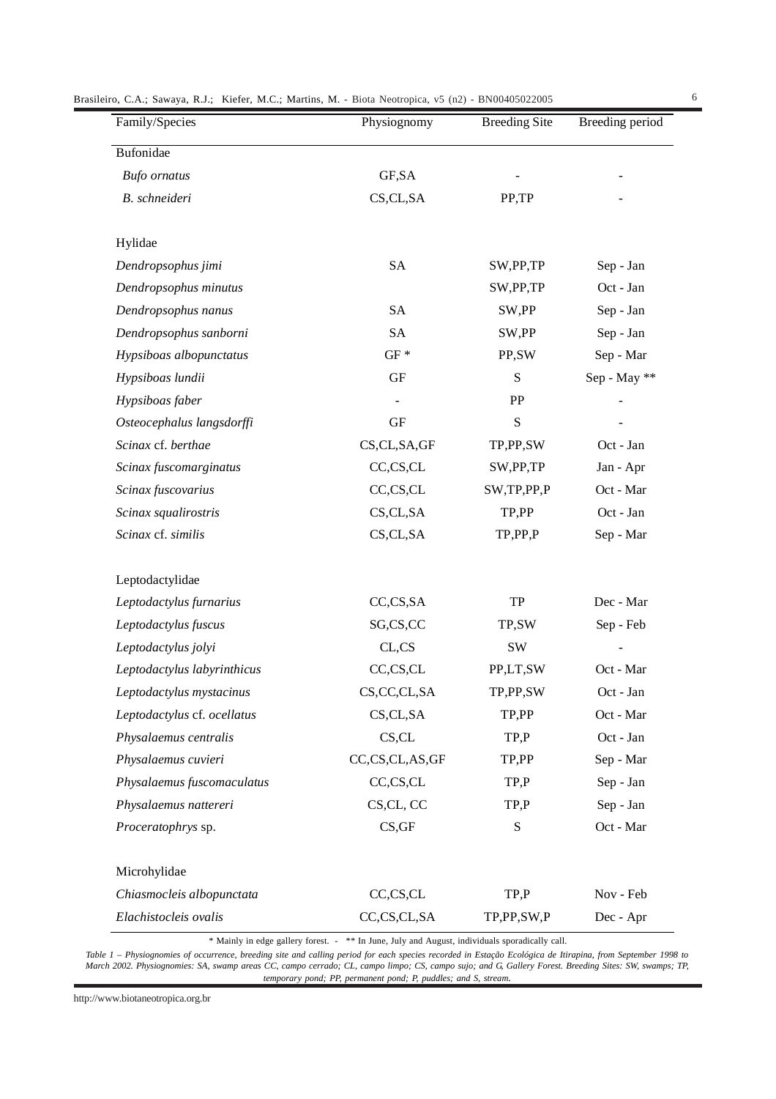| Brasileiro, C.A.; Sawaya, R.J.; Kiefer, M.C.; Martins, M. - Biota Neotropica, v5 (n2) - BN00405022005 |  |  |  |  |  |
|-------------------------------------------------------------------------------------------------------|--|--|--|--|--|
|-------------------------------------------------------------------------------------------------------|--|--|--|--|--|

| Family/Species              | Physiognomy         | <b>Breeding Site</b> | Breeding period |
|-----------------------------|---------------------|----------------------|-----------------|
| <b>Bufonidae</b>            |                     |                      |                 |
| <b>Bufo</b> ornatus         | GF, SA              |                      |                 |
| B. schneideri               | CS,CL,SA            | PP,TP                |                 |
|                             |                     |                      |                 |
| Hylidae                     |                     |                      |                 |
| Dendropsophus jimi          | <b>SA</b>           | SW, PP, TP           | Sep - Jan       |
| Dendropsophus minutus       |                     | SW,PP,TP             | Oct - Jan       |
| Dendropsophus nanus         | <b>SA</b>           | SW,PP                | Sep - Jan       |
| Dendropsophus sanborni      | <b>SA</b>           | SW,PP                | Sep - Jan       |
| Hypsiboas albopunctatus     | $GF *$              | PP,SW                | Sep - Mar       |
| Hypsiboas lundii            | GF                  | S                    | Sep - May **    |
| Hypsiboas faber             |                     | PP                   |                 |
| Osteocephalus langsdorffi   | $\operatorname{GF}$ | ${\bf S}$            |                 |
| Scinax cf. berthae          | CS,CL,SA,GF         | TP,PP,SW             | Oct - Jan       |
| Scinax fuscomarginatus      | CC,CS,CL            | SW, PP, TP           | Jan - Apr       |
| Scinax fuscovarius          | CC,CS,CL            | SW,TP,PP,P           | Oct - Mar       |
| Scinax squalirostris        | CS,CL,SA            | TP,PP                | Oct - Jan       |
| Scinax cf. similis          | CS,CL,SA            | TP,PP,P              | Sep - Mar       |
| Leptodactylidae             |                     |                      |                 |
| Leptodactylus furnarius     | CC, CS, SA          | ${\rm TP}$           | Dec - Mar       |
| Leptodactylus fuscus        | SG,CS,CC            | TP,SW                | Sep - Feb       |
| Leptodactylus jolyi         | CL,CS               | SW                   |                 |
| Leptodactylus labyrinthicus | CC,CS,CL            | PP,LT,SW             | Oct - Mar       |
| Leptodactylus mystacinus    | CS, CC, CL, SA      | TP,PP,SW             | Oct - Jan       |
| Leptodactylus cf. ocellatus | CS,CL, SA           | TP,PP                | Oct - Mar       |
| Physalaemus centralis       | CS,CL               | TP, P                | Oct - Jan       |
| Physalaemus cuvieri         | CC,CS,CL,AS,GF      | TP,PP                | Sep - Mar       |
| Physalaemus fuscomaculatus  | CC,CS,CL            | TP, P                | Sep - Jan       |
| Physalaemus nattereri       | CS,CL, CC           | TP, P                | Sep - Jan       |
| Proceratophrys sp.          | CS, GF              | ${\bf S}$            | Oct - Mar       |
| Microhylidae                |                     |                      |                 |
| Chiasmocleis albopunctata   | CC,CS,CL            | TP, P                | Nov - Feb       |
| Elachistocleis ovalis       | CC,CS,CL,SA         | TP,PP,SW,P           | Dec - Apr       |

\* Mainly in edge gallery forest. - \*\* In June, July and August, individuals sporadically call.

*Table 1 – Physiognomies of occurrence, breeding site and calling period for each species recorded in Estação Ecológica de Itirapina, from September 1998 to March 2002. Physiognomies: SA, swamp areas CC, campo cerrado; CL, campo limpo; CS, campo sujo; and G, Gallery Forest. Breeding Sites: SW, swamps; TP, temporary pond; PP, permanent pond; P, puddles; and S, stream.*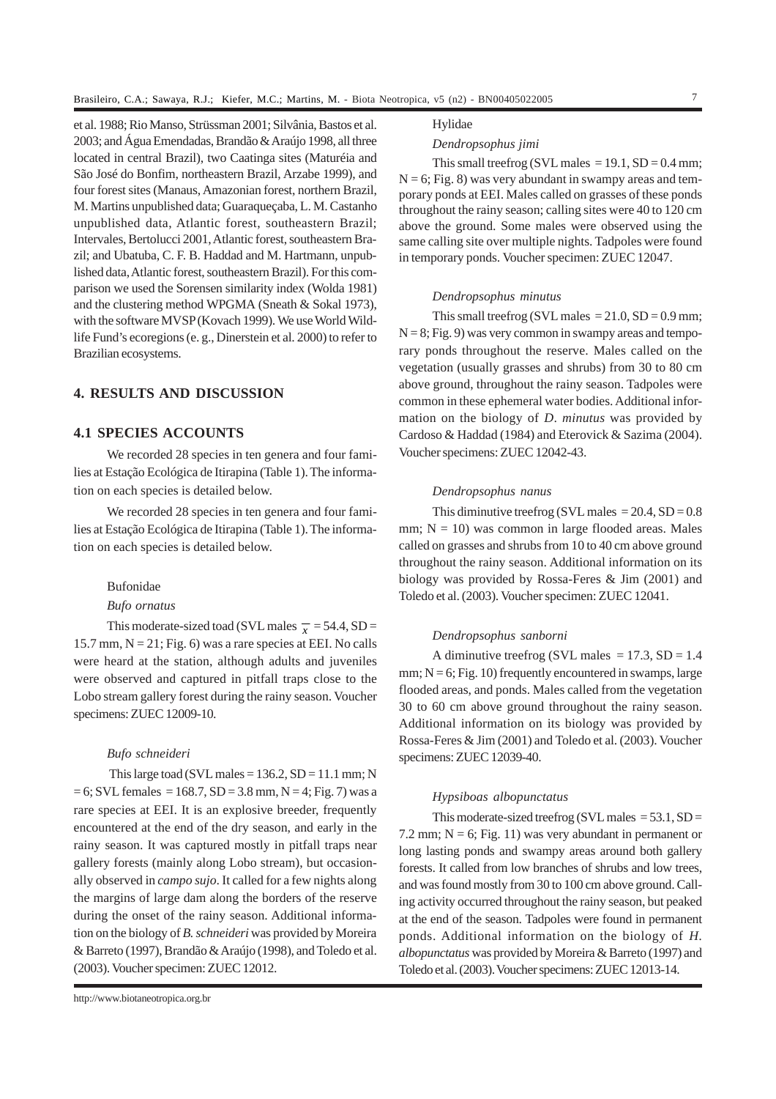et al. 1988; Rio Manso, Strüssman 2001; Silvânia, Bastos et al. 2003; and Água Emendadas, Brandão & Araújo 1998, all three located in central Brazil), two Caatinga sites (Maturéia and São José do Bonfim, northeastern Brazil, Arzabe 1999), and four forest sites (Manaus, Amazonian forest, northern Brazil, M. Martins unpublished data; Guaraqueçaba, L. M. Castanho unpublished data, Atlantic forest, southeastern Brazil; Intervales, Bertolucci 2001, Atlantic forest, southeastern Brazil; and Ubatuba, C. F. B. Haddad and M. Hartmann, unpublished data, Atlantic forest, southeastern Brazil). For this comparison we used the Sorensen similarity index (Wolda 1981) and the clustering method WPGMA (Sneath & Sokal 1973), with the software MVSP (Kovach 1999). We use World Wildlife Fund's ecoregions (e. g., Dinerstein et al. 2000) to refer to Brazilian ecosystems.

# **4. RESULTS AND DISCUSSION**

## **4.1 SPECIES ACCOUNTS**

We recorded 28 species in ten genera and four families at Estação Ecológica de Itirapina (Table 1). The information on each species is detailed below.

We recorded 28 species in ten genera and four families at Estação Ecológica de Itirapina (Table 1). The information on each species is detailed below.

#### Bufonidae

*Bufo ornatus*

This moderate-sized toad (SVL males  $\bar{x}$  = 54.4, SD = 15.7 mm,  $N = 21$ ; Fig. 6) was a rare species at EEI. No calls were heard at the station, although adults and juveniles were observed and captured in pitfall traps close to the Lobo stream gallery forest during the rainy season. Voucher specimens: ZUEC 12009-10.

#### *Bufo schneideri*

This large toad (SVL males  $= 136.2$ , SD  $= 11.1$  mm; N  $= 6$ ; SVL females  $= 168.7$ , SD  $= 3.8$  mm, N  $= 4$ ; Fig. 7) was a rare species at EEI. It is an explosive breeder, frequently encountered at the end of the dry season, and early in the rainy season. It was captured mostly in pitfall traps near gallery forests (mainly along Lobo stream), but occasionally observed in *campo sujo*. It called for a few nights along the margins of large dam along the borders of the reserve during the onset of the rainy season. Additional information on the biology of *B. schneideri* was provided by Moreira & Barreto (1997), Brandão & Araújo (1998), and Toledo et al. (2003). Voucher specimen: ZUEC 12012.

#### Hylidae

#### *Dendropsophus jimi*

This small treefrog (SVL males  $= 19.1$ , SD  $= 0.4$  mm;  $N = 6$ ; Fig. 8) was very abundant in swampy areas and temporary ponds at EEI. Males called on grasses of these ponds throughout the rainy season; calling sites were 40 to 120 cm above the ground. Some males were observed using the same calling site over multiple nights. Tadpoles were found in temporary ponds. Voucher specimen: ZUEC 12047.

#### *Dendropsophus minutus*

This small treefrog (SVL males  $= 21.0$ , SD  $= 0.9$  mm;  $N = 8$ ; Fig. 9) was very common in swampy areas and temporary ponds throughout the reserve. Males called on the vegetation (usually grasses and shrubs) from 30 to 80 cm above ground, throughout the rainy season. Tadpoles were common in these ephemeral water bodies. Additional information on the biology of *D*. *minutus* was provided by Cardoso & Haddad (1984) and Eterovick & Sazima (2004). Voucher specimens: ZUEC 12042-43.

### *Dendropsophus nanus*

This diminutive treefrog (SVL males  $= 20.4$ , SD  $= 0.8$ ) mm;  $N = 10$ ) was common in large flooded areas. Males called on grasses and shrubs from 10 to 40 cm above ground throughout the rainy season. Additional information on its biology was provided by Rossa-Feres & Jim (2001) and Toledo et al. (2003). Voucher specimen: ZUEC 12041.

#### *Dendropsophus sanborni*

A diminutive treefrog (SVL males  $= 17.3$ , SD  $= 1.4$ mm;  $N = 6$ ; Fig. 10) frequently encountered in swamps, large flooded areas, and ponds. Males called from the vegetation 30 to 60 cm above ground throughout the rainy season. Additional information on its biology was provided by Rossa-Feres & Jim (2001) and Toledo et al. (2003). Voucher specimens: ZUEC 12039-40.

#### *Hypsiboas albopunctatus*

This moderate-sized treefrog (SVL males  $= 53.1$ , SD  $=$ 7.2 mm;  $N = 6$ ; Fig. 11) was very abundant in permanent or long lasting ponds and swampy areas around both gallery forests. It called from low branches of shrubs and low trees, and was found mostly from 30 to 100 cm above ground. Calling activity occurred throughout the rainy season, but peaked at the end of the season. Tadpoles were found in permanent ponds. Additional information on the biology of *H. albopunctatus* was provided by Moreira & Barreto (1997) and Toledo et al. (2003). Voucher specimens: ZUEC 12013-14.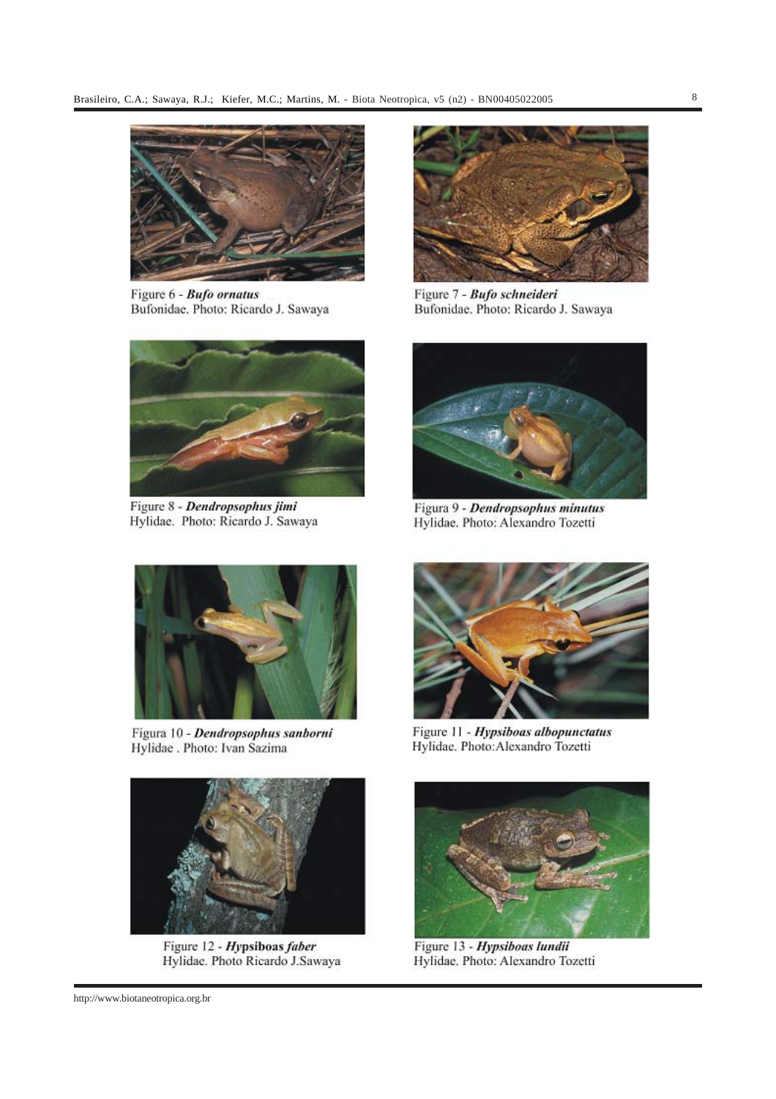

Figure 6 - Bufo ornatus Bufonidae, Photo: Ricardo J. Sawaya



Figure 8 - Dendropsophus jimi Hylidae. Photo: Ricardo J. Sawaya



Figura 10 - Dendropsophus sanborni Hylidae . Photo: Ivan Sazima



Figure 12 - Hypsiboas faber Hylidae. Photo Ricardo J.Sawaya



Figure 7 - Bufo schneideri Bufonidae. Photo: Ricardo J. Sawaya



Figura 9 - Dendropsophus minutus Hylidae. Photo: Alexandro Tozetti



Figure 11 - Hypsiboas albopunctatus Hylidae. Photo:Alexandro Tozetti



Figure 13 - Hypsiboas lundii Hylidae. Photo: Alexandro Tozetti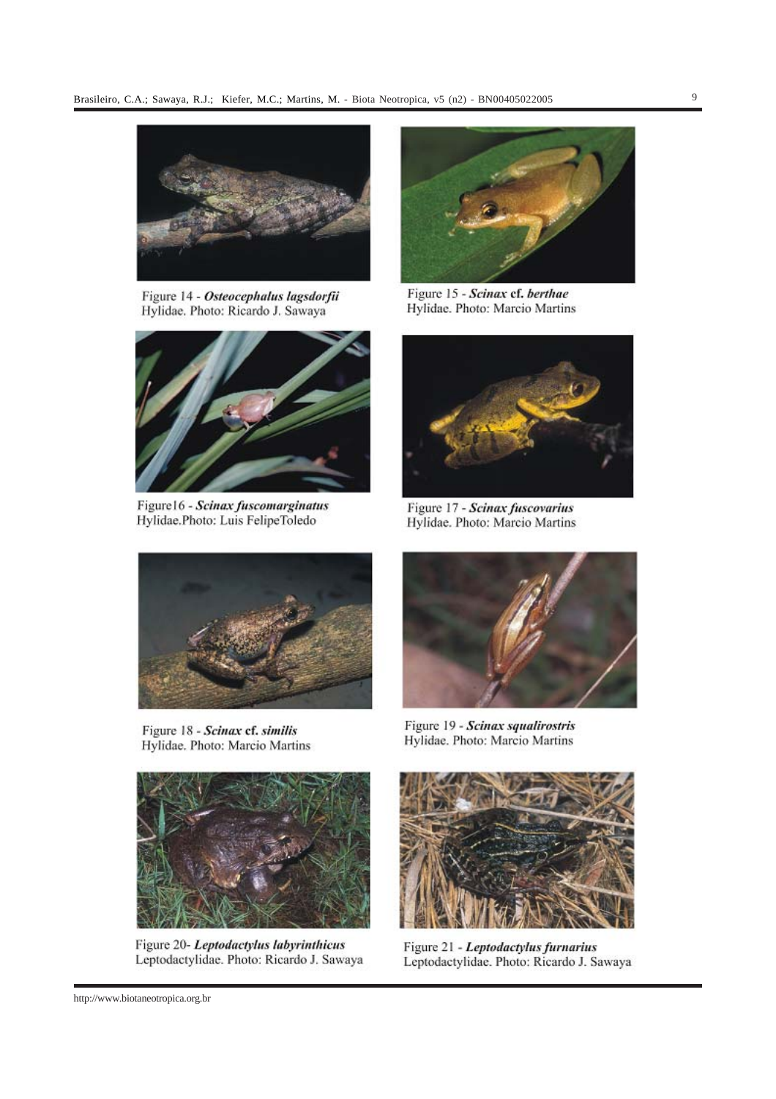

Figure 14 - Osteocephalus lagsdorfii Hylidae. Photo: Ricardo J. Sawaya



Figure16 - Scinax fuscomarginatus Hylidae.Photo: Luis FelipeToledo



Figure 15 - Scinax ef. berthae Hylidae. Photo: Marcio Martins



Figure 17 - Scinax fuscovarius Hylidae. Photo: Marcio Martins



Figure 18 - Scinax cf. similis Hylidae. Photo: Marcio Martins



Figure 20- Leptodactylus labyrinthicus Leptodactylidae. Photo: Ricardo J. Sawaya



Figure 19 - Scinax squalirostris Hylidae. Photo: Marcio Martins



Figure 21 - Leptodactylus furnarius Leptodactylidae. Photo: Ricardo J. Sawaya